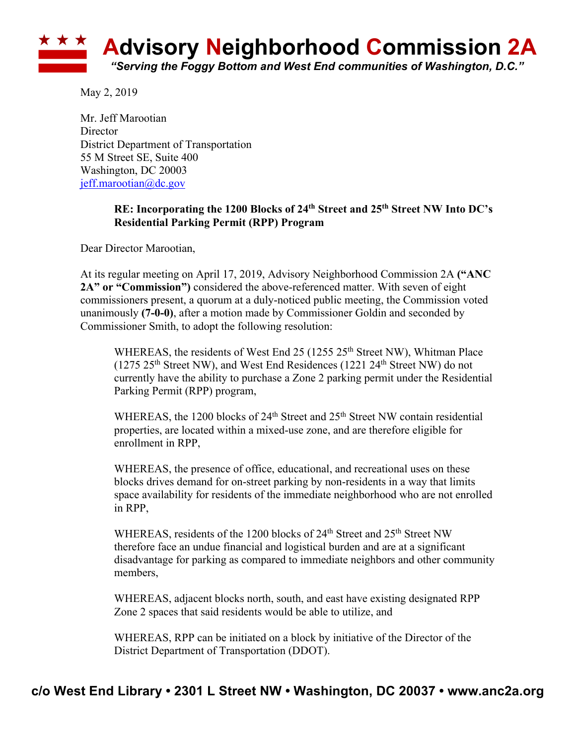

May 2, 2019

Mr. Jeff Marootian **Director** District Department of Transportation 55 M Street SE, Suite 400 Washington, DC 20003 jeff.marootian@dc.gov

## **RE: Incorporating the 1200 Blocks of 24th Street and 25th Street NW Into DC's Residential Parking Permit (RPP) Program**

Dear Director Marootian,

At its regular meeting on April 17, 2019, Advisory Neighborhood Commission 2A **("ANC 2A" or "Commission")** considered the above-referenced matter. With seven of eight commissioners present, a quorum at a duly-noticed public meeting, the Commission voted unanimously **(7-0-0)**, after a motion made by Commissioner Goldin and seconded by Commissioner Smith, to adopt the following resolution:

WHEREAS, the residents of West End 25 (1255 25<sup>th</sup> Street NW), Whitman Place (1275  $25<sup>th</sup>$  Street NW), and West End Residences (1221  $24<sup>th</sup>$  Street NW) do not currently have the ability to purchase a Zone 2 parking permit under the Residential Parking Permit (RPP) program,

WHEREAS, the 1200 blocks of  $24<sup>th</sup>$  Street and  $25<sup>th</sup>$  Street NW contain residential properties, are located within a mixed-use zone, and are therefore eligible for enrollment in RPP,

WHEREAS, the presence of office, educational, and recreational uses on these blocks drives demand for on-street parking by non-residents in a way that limits space availability for residents of the immediate neighborhood who are not enrolled in RPP,

WHEREAS, residents of the 1200 blocks of 24<sup>th</sup> Street and 25<sup>th</sup> Street NW therefore face an undue financial and logistical burden and are at a significant disadvantage for parking as compared to immediate neighbors and other community members,

WHEREAS, adjacent blocks north, south, and east have existing designated RPP Zone 2 spaces that said residents would be able to utilize, and

WHEREAS, RPP can be initiated on a block by initiative of the Director of the District Department of Transportation (DDOT).